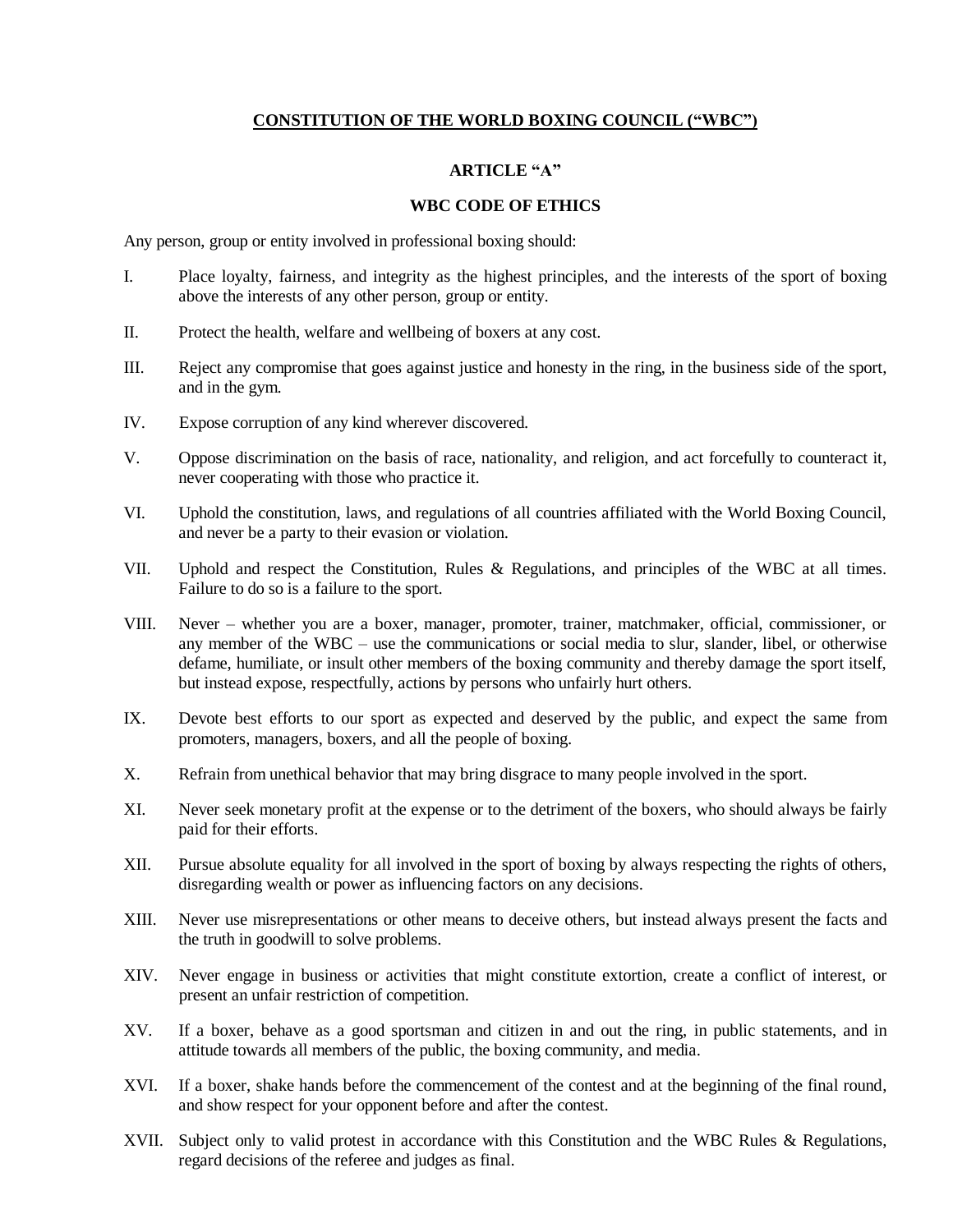# **CONSTITUTION OF THE WORLD BOXING COUNCIL ("WBC")**

### **ARTICLE "A"**

#### **WBC CODE OF ETHICS**

Any person, group or entity involved in professional boxing should:

- I. Place loyalty, fairness, and integrity as the highest principles, and the interests of the sport of boxing above the interests of any other person, group or entity.
- II. Protect the health, welfare and wellbeing of boxers at any cost.
- III. Reject any compromise that goes against justice and honesty in the ring, in the business side of the sport, and in the gym.
- IV. Expose corruption of any kind wherever discovered.
- V. Oppose discrimination on the basis of race, nationality, and religion, and act forcefully to counteract it, never cooperating with those who practice it.
- VI. Uphold the constitution, laws, and regulations of all countries affiliated with the World Boxing Council, and never be a party to their evasion or violation.
- VII. Uphold and respect the Constitution, Rules & Regulations, and principles of the WBC at all times. Failure to do so is a failure to the sport.
- VIII. Never whether you are a boxer, manager, promoter, trainer, matchmaker, official, commissioner, or any member of the WBC – use the communications or social media to slur, slander, libel, or otherwise defame, humiliate, or insult other members of the boxing community and thereby damage the sport itself, but instead expose, respectfully, actions by persons who unfairly hurt others.
- IX. Devote best efforts to our sport as expected and deserved by the public, and expect the same from promoters, managers, boxers, and all the people of boxing.
- X. Refrain from unethical behavior that may bring disgrace to many people involved in the sport.
- XI. Never seek monetary profit at the expense or to the detriment of the boxers, who should always be fairly paid for their efforts.
- XII. Pursue absolute equality for all involved in the sport of boxing by always respecting the rights of others, disregarding wealth or power as influencing factors on any decisions.
- XIII. Never use misrepresentations or other means to deceive others, but instead always present the facts and the truth in goodwill to solve problems.
- XIV. Never engage in business or activities that might constitute extortion, create a conflict of interest, or present an unfair restriction of competition.
- XV. If a boxer, behave as a good sportsman and citizen in and out the ring, in public statements, and in attitude towards all members of the public, the boxing community, and media.
- XVI. If a boxer, shake hands before the commencement of the contest and at the beginning of the final round, and show respect for your opponent before and after the contest.
- XVII. Subject only to valid protest in accordance with this Constitution and the WBC Rules & Regulations, regard decisions of the referee and judges as final.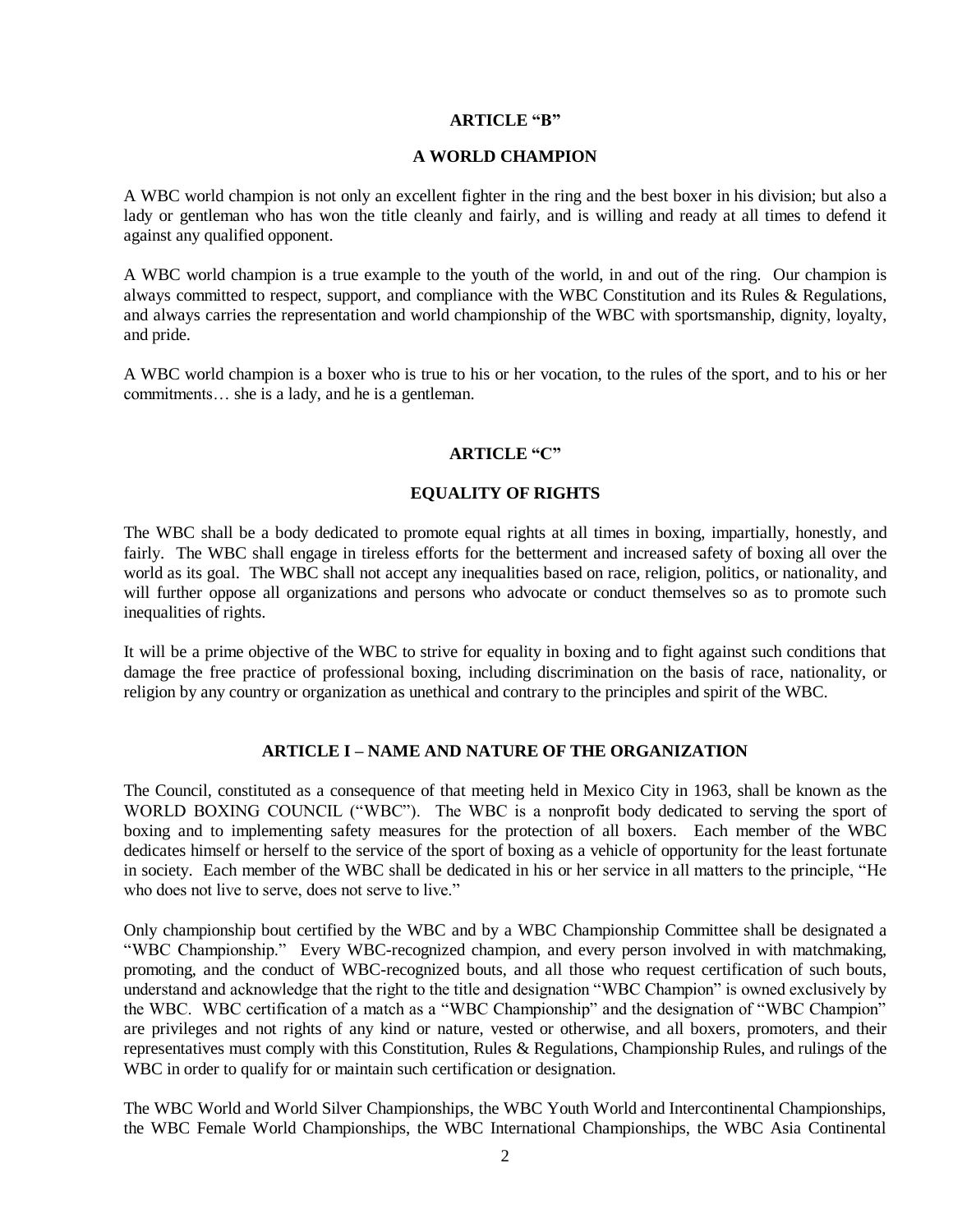#### **ARTICLE "B"**

#### **A WORLD CHAMPION**

A WBC world champion is not only an excellent fighter in the ring and the best boxer in his division; but also a lady or gentleman who has won the title cleanly and fairly, and is willing and ready at all times to defend it against any qualified opponent.

A WBC world champion is a true example to the youth of the world, in and out of the ring. Our champion is always committed to respect, support, and compliance with the WBC Constitution and its Rules & Regulations, and always carries the representation and world championship of the WBC with sportsmanship, dignity, loyalty, and pride.

A WBC world champion is a boxer who is true to his or her vocation, to the rules of the sport, and to his or her commitments… she is a lady, and he is a gentleman.

### **ARTICLE "C"**

### **EQUALITY OF RIGHTS**

The WBC shall be a body dedicated to promote equal rights at all times in boxing, impartially, honestly, and fairly. The WBC shall engage in tireless efforts for the betterment and increased safety of boxing all over the world as its goal. The WBC shall not accept any inequalities based on race, religion, politics, or nationality, and will further oppose all organizations and persons who advocate or conduct themselves so as to promote such inequalities of rights.

It will be a prime objective of the WBC to strive for equality in boxing and to fight against such conditions that damage the free practice of professional boxing, including discrimination on the basis of race, nationality, or religion by any country or organization as unethical and contrary to the principles and spirit of the WBC.

#### **ARTICLE I – NAME AND NATURE OF THE ORGANIZATION**

The Council, constituted as a consequence of that meeting held in Mexico City in 1963, shall be known as the WORLD BOXING COUNCIL ("WBC"). The WBC is a nonprofit body dedicated to serving the sport of boxing and to implementing safety measures for the protection of all boxers. Each member of the WBC dedicates himself or herself to the service of the sport of boxing as a vehicle of opportunity for the least fortunate in society. Each member of the WBC shall be dedicated in his or her service in all matters to the principle, "He who does not live to serve, does not serve to live."

Only championship bout certified by the WBC and by a WBC Championship Committee shall be designated a "WBC Championship." Every WBC-recognized champion, and every person involved in with matchmaking, promoting, and the conduct of WBC-recognized bouts, and all those who request certification of such bouts, understand and acknowledge that the right to the title and designation "WBC Champion" is owned exclusively by the WBC. WBC certification of a match as a "WBC Championship" and the designation of "WBC Champion" are privileges and not rights of any kind or nature, vested or otherwise, and all boxers, promoters, and their representatives must comply with this Constitution, Rules & Regulations, Championship Rules, and rulings of the WBC in order to qualify for or maintain such certification or designation.

The WBC World and World Silver Championships, the WBC Youth World and Intercontinental Championships, the WBC Female World Championships, the WBC International Championships, the WBC Asia Continental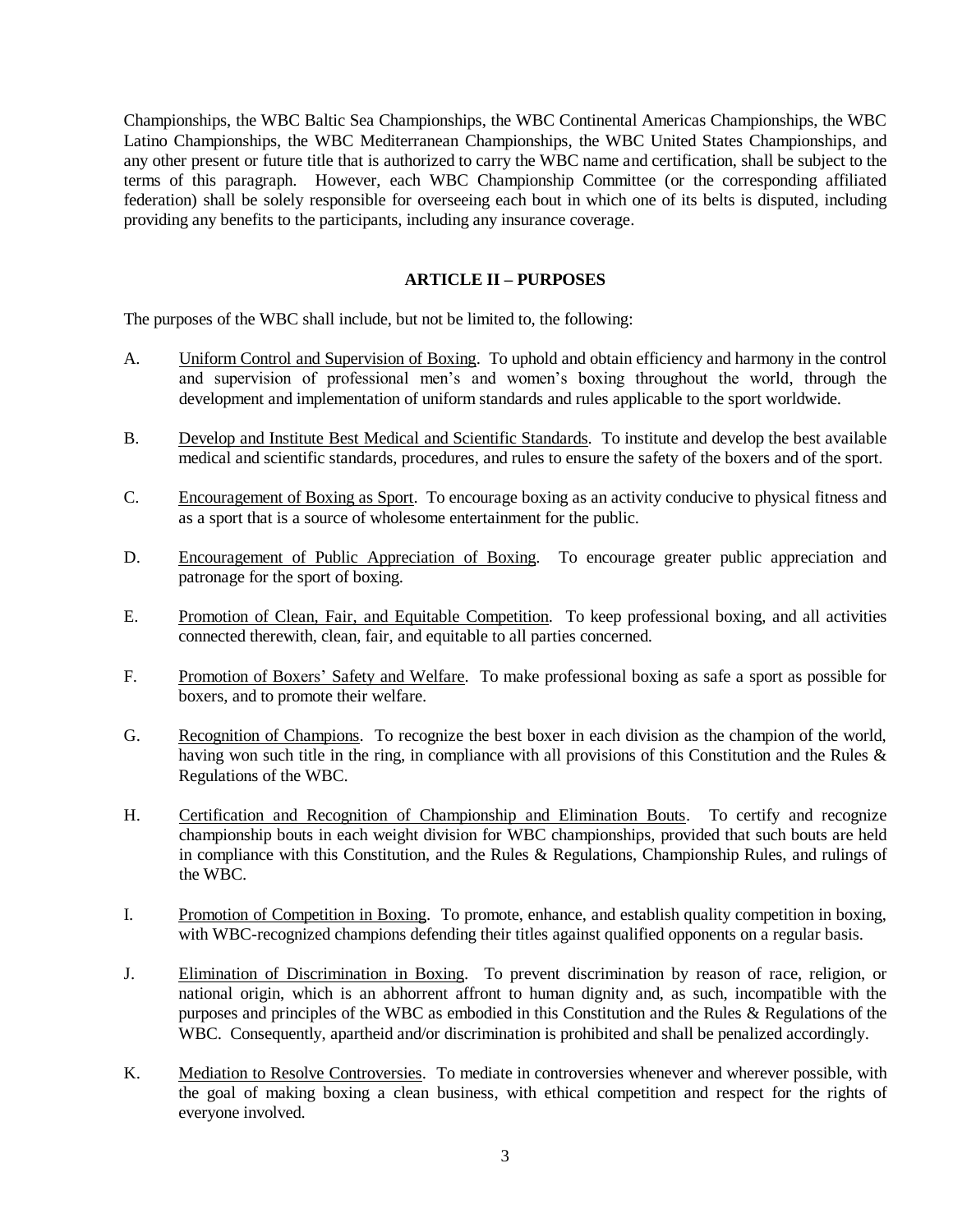Championships, the WBC Baltic Sea Championships, the WBC Continental Americas Championships, the WBC Latino Championships, the WBC Mediterranean Championships, the WBC United States Championships, and any other present or future title that is authorized to carry the WBC name and certification, shall be subject to the terms of this paragraph. However, each WBC Championship Committee (or the corresponding affiliated federation) shall be solely responsible for overseeing each bout in which one of its belts is disputed, including providing any benefits to the participants, including any insurance coverage.

### **ARTICLE II – PURPOSES**

The purposes of the WBC shall include, but not be limited to, the following:

- A. Uniform Control and Supervision of Boxing. To uphold and obtain efficiency and harmony in the control and supervision of professional men's and women's boxing throughout the world, through the development and implementation of uniform standards and rules applicable to the sport worldwide.
- B. Develop and Institute Best Medical and Scientific Standards. To institute and develop the best available medical and scientific standards, procedures, and rules to ensure the safety of the boxers and of the sport.
- C. Encouragement of Boxing as Sport. To encourage boxing as an activity conducive to physical fitness and as a sport that is a source of wholesome entertainment for the public.
- D. Encouragement of Public Appreciation of Boxing. To encourage greater public appreciation and patronage for the sport of boxing.
- E. Promotion of Clean, Fair, and Equitable Competition. To keep professional boxing, and all activities connected therewith, clean, fair, and equitable to all parties concerned.
- F. Promotion of Boxers' Safety and Welfare. To make professional boxing as safe a sport as possible for boxers, and to promote their welfare.
- G. Recognition of Champions. To recognize the best boxer in each division as the champion of the world, having won such title in the ring, in compliance with all provisions of this Constitution and the Rules & Regulations of the WBC.
- H. Certification and Recognition of Championship and Elimination Bouts. To certify and recognize championship bouts in each weight division for WBC championships, provided that such bouts are held in compliance with this Constitution, and the Rules & Regulations, Championship Rules, and rulings of the WBC.
- I. Promotion of Competition in Boxing. To promote, enhance, and establish quality competition in boxing, with WBC-recognized champions defending their titles against qualified opponents on a regular basis.
- J. Elimination of Discrimination in Boxing. To prevent discrimination by reason of race, religion, or national origin, which is an abhorrent affront to human dignity and, as such, incompatible with the purposes and principles of the WBC as embodied in this Constitution and the Rules & Regulations of the WBC. Consequently, apartheid and/or discrimination is prohibited and shall be penalized accordingly.
- K. Mediation to Resolve Controversies. To mediate in controversies whenever and wherever possible, with the goal of making boxing a clean business, with ethical competition and respect for the rights of everyone involved.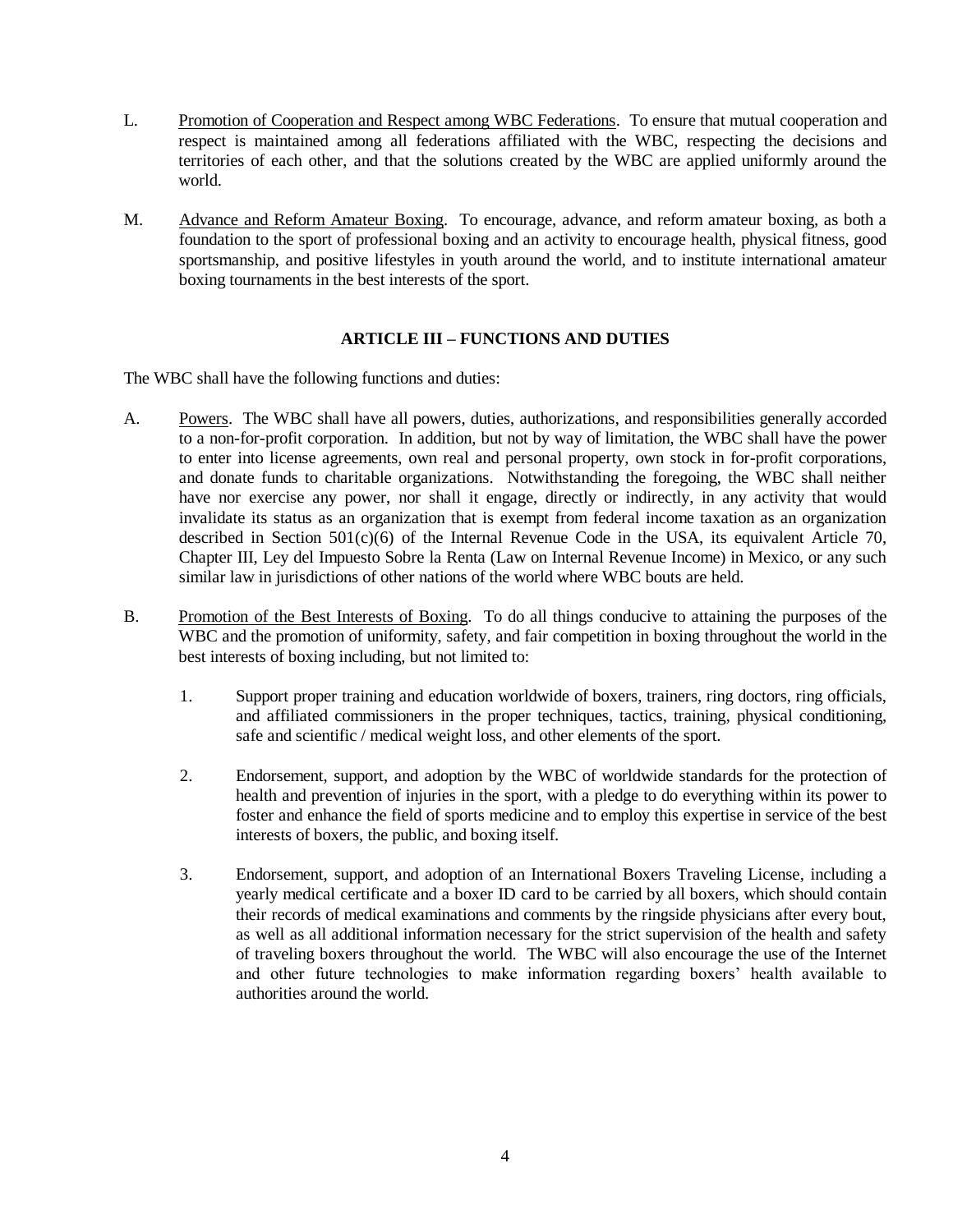- L. Promotion of Cooperation and Respect among WBC Federations. To ensure that mutual cooperation and respect is maintained among all federations affiliated with the WBC, respecting the decisions and territories of each other, and that the solutions created by the WBC are applied uniformly around the world.
- M. Advance and Reform Amateur Boxing. To encourage, advance, and reform amateur boxing, as both a foundation to the sport of professional boxing and an activity to encourage health, physical fitness, good sportsmanship, and positive lifestyles in youth around the world, and to institute international amateur boxing tournaments in the best interests of the sport.

# **ARTICLE III – FUNCTIONS AND DUTIES**

The WBC shall have the following functions and duties:

- A. Powers. The WBC shall have all powers, duties, authorizations, and responsibilities generally accorded to a non-for-profit corporation. In addition, but not by way of limitation, the WBC shall have the power to enter into license agreements, own real and personal property, own stock in for-profit corporations, and donate funds to charitable organizations. Notwithstanding the foregoing, the WBC shall neither have nor exercise any power, nor shall it engage, directly or indirectly, in any activity that would invalidate its status as an organization that is exempt from federal income taxation as an organization described in Section  $501(c)(6)$  of the Internal Revenue Code in the USA, its equivalent Article 70, Chapter III, Ley del Impuesto Sobre la Renta (Law on Internal Revenue Income) in Mexico, or any such similar law in jurisdictions of other nations of the world where WBC bouts are held.
- B. Promotion of the Best Interests of Boxing. To do all things conducive to attaining the purposes of the WBC and the promotion of uniformity, safety, and fair competition in boxing throughout the world in the best interests of boxing including, but not limited to:
	- 1. Support proper training and education worldwide of boxers, trainers, ring doctors, ring officials, and affiliated commissioners in the proper techniques, tactics, training, physical conditioning, safe and scientific / medical weight loss, and other elements of the sport.
	- 2. Endorsement, support, and adoption by the WBC of worldwide standards for the protection of health and prevention of injuries in the sport, with a pledge to do everything within its power to foster and enhance the field of sports medicine and to employ this expertise in service of the best interests of boxers, the public, and boxing itself.
	- 3. Endorsement, support, and adoption of an International Boxers Traveling License, including a yearly medical certificate and a boxer ID card to be carried by all boxers, which should contain their records of medical examinations and comments by the ringside physicians after every bout, as well as all additional information necessary for the strict supervision of the health and safety of traveling boxers throughout the world. The WBC will also encourage the use of the Internet and other future technologies to make information regarding boxers' health available to authorities around the world.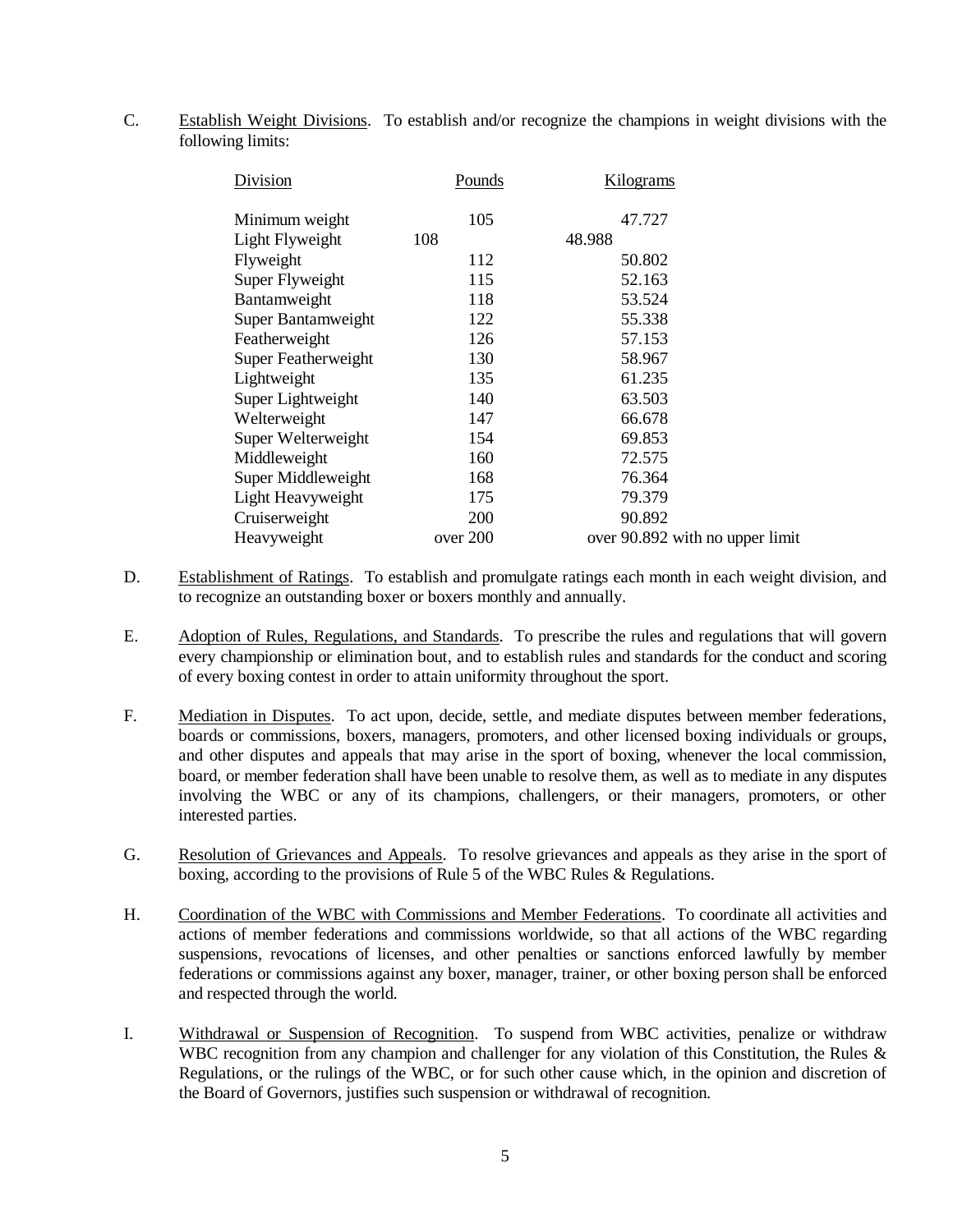C. Establish Weight Divisions. To establish and/or recognize the champions in weight divisions with the following limits:

| Division            | Pounds   | Kilograms |                                 |
|---------------------|----------|-----------|---------------------------------|
| Minimum weight      | 105      | 47.727    |                                 |
| Light Flyweight     | 108      | 48.988    |                                 |
| Flyweight           | 112      | 50.802    |                                 |
| Super Flyweight     | 115      | 52.163    |                                 |
| Bantamweight        | 118      | 53.524    |                                 |
| Super Bantamweight  | 122      | 55.338    |                                 |
| Featherweight       | 126      | 57.153    |                                 |
| Super Featherweight | 130      | 58.967    |                                 |
| Lightweight         | 135      | 61.235    |                                 |
| Super Lightweight   | 140      | 63.503    |                                 |
| Welterweight        | 147      | 66.678    |                                 |
| Super Welterweight  | 154      | 69.853    |                                 |
| Middleweight        | 160      | 72.575    |                                 |
| Super Middleweight  | 168      | 76.364    |                                 |
| Light Heavyweight   | 175      | 79.379    |                                 |
| Cruiserweight       | 200      | 90.892    |                                 |
| Heavyweight         | over 200 |           | over 90.892 with no upper limit |
|                     |          |           |                                 |

- D. Establishment of Ratings. To establish and promulgate ratings each month in each weight division, and to recognize an outstanding boxer or boxers monthly and annually.
- E. Adoption of Rules, Regulations, and Standards. To prescribe the rules and regulations that will govern every championship or elimination bout, and to establish rules and standards for the conduct and scoring of every boxing contest in order to attain uniformity throughout the sport.
- F. Mediation in Disputes. To act upon, decide, settle, and mediate disputes between member federations, boards or commissions, boxers, managers, promoters, and other licensed boxing individuals or groups, and other disputes and appeals that may arise in the sport of boxing, whenever the local commission, board, or member federation shall have been unable to resolve them, as well as to mediate in any disputes involving the WBC or any of its champions, challengers, or their managers, promoters, or other interested parties.
- G. Resolution of Grievances and Appeals. To resolve grievances and appeals as they arise in the sport of boxing, according to the provisions of Rule 5 of the WBC Rules & Regulations.
- H. Coordination of the WBC with Commissions and Member Federations. To coordinate all activities and actions of member federations and commissions worldwide, so that all actions of the WBC regarding suspensions, revocations of licenses, and other penalties or sanctions enforced lawfully by member federations or commissions against any boxer, manager, trainer, or other boxing person shall be enforced and respected through the world.
- I. Withdrawal or Suspension of Recognition. To suspend from WBC activities, penalize or withdraw WBC recognition from any champion and challenger for any violation of this Constitution, the Rules & Regulations, or the rulings of the WBC, or for such other cause which, in the opinion and discretion of the Board of Governors, justifies such suspension or withdrawal of recognition.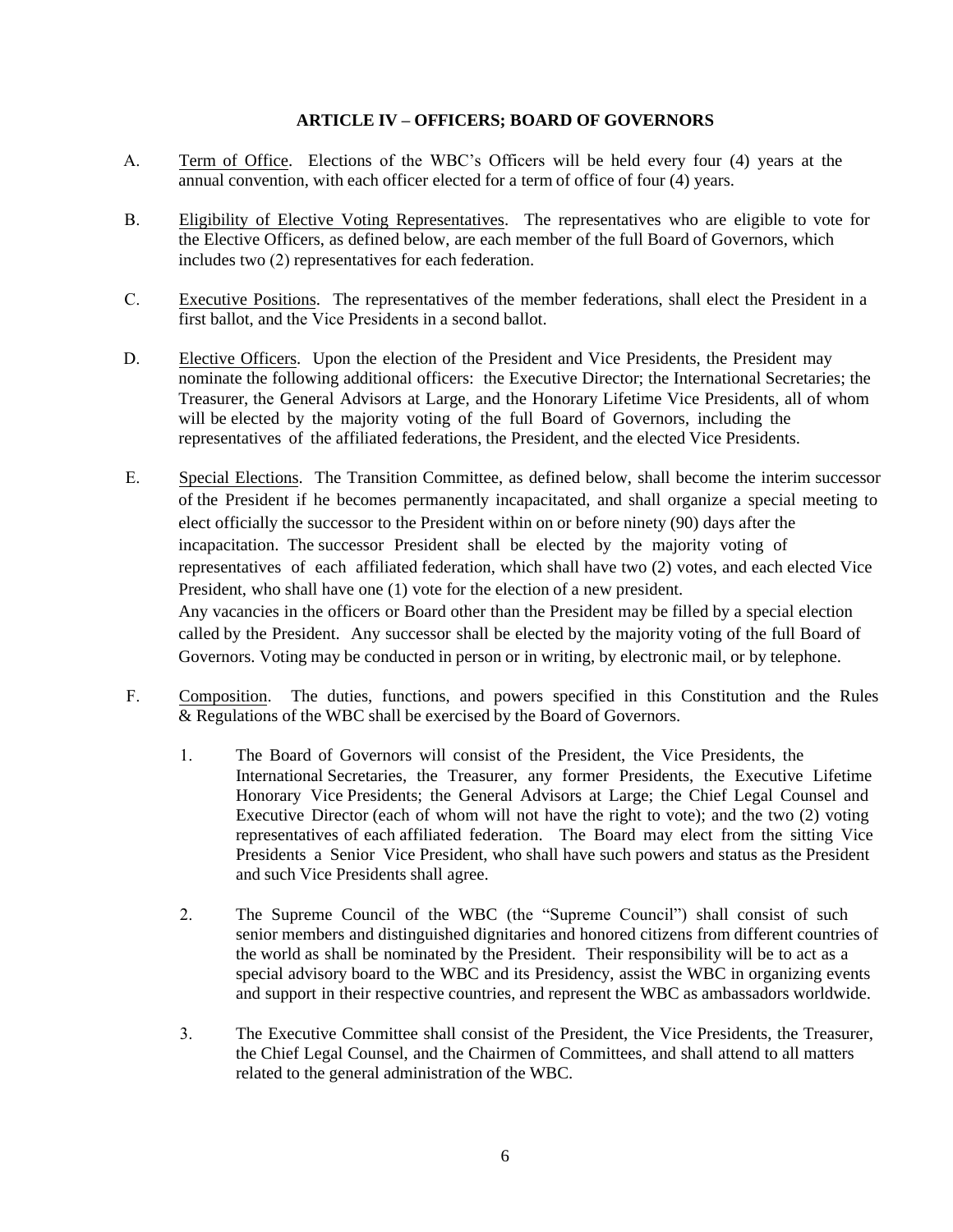### **ARTICLE IV – OFFICERS; BOARD OF GOVERNORS**

- A. Term of Office. Elections of the WBC's Officers will be held every four (4) years at the annual convention, with each officer elected for a term of office of four (4) years.
- B. Eligibility of Elective Voting Representatives. The representatives who are eligible to vote for the Elective Officers, as defined below, are each member of the full Board of Governors, which includes two (2) representatives for each federation.
- C. Executive Positions. The representatives of the member federations, shall elect the President in a first ballot, and the Vice Presidents in a second ballot.
- D. Elective Officers. Upon the election of the President and Vice Presidents, the President may nominate the following additional officers: the Executive Director; the International Secretaries; the Treasurer, the General Advisors at Large, and the Honorary Lifetime Vice Presidents, all of whom will be elected by the majority voting of the full Board of Governors, including the representatives of the affiliated federations, the President, and the elected Vice Presidents.
- E. Special Elections. The Transition Committee, as defined below, shall become the interim successor of the President if he becomes permanently incapacitated, and shall organize a special meeting to elect officially the successor to the President within on or before ninety (90) days after the incapacitation. The successor President shall be elected by the majority voting of representatives of each affiliated federation, which shall have two (2) votes, and each elected Vice President, who shall have one (1) vote for the election of a new president. Any vacancies in the officers or Board other than the President may be filled by a special election called by the President. Any successor shall be elected by the majority voting of the full Board of Governors. Voting may be conducted in person or in writing, by electronic mail, or by telephone.
- F. Composition. The duties, functions, and powers specified in this Constitution and the Rules & Regulations of the WBC shall be exercised by the Board of Governors.
	- 1. The Board of Governors will consist of the President, the Vice Presidents, the International Secretaries, the Treasurer, any former Presidents, the Executive Lifetime Honorary Vice Presidents; the General Advisors at Large; the Chief Legal Counsel and Executive Director (each of whom will not have the right to vote); and the two (2) voting representatives of each affiliated federation. The Board may elect from the sitting Vice Presidents a Senior Vice President, who shall have such powers and status as the President and such Vice Presidents shall agree.
	- 2. The Supreme Council of the WBC (the "Supreme Council") shall consist of such senior members and distinguished dignitaries and honored citizens from different countries of the world as shall be nominated by the President. Their responsibility will be to act as a special advisory board to the WBC and its Presidency, assist the WBC in organizing events and support in their respective countries, and represent the WBC as ambassadors worldwide.
	- 3. The Executive Committee shall consist of the President, the Vice Presidents, the Treasurer, the Chief Legal Counsel, and the Chairmen of Committees, and shall attend to all matters related to the general administration of the WBC.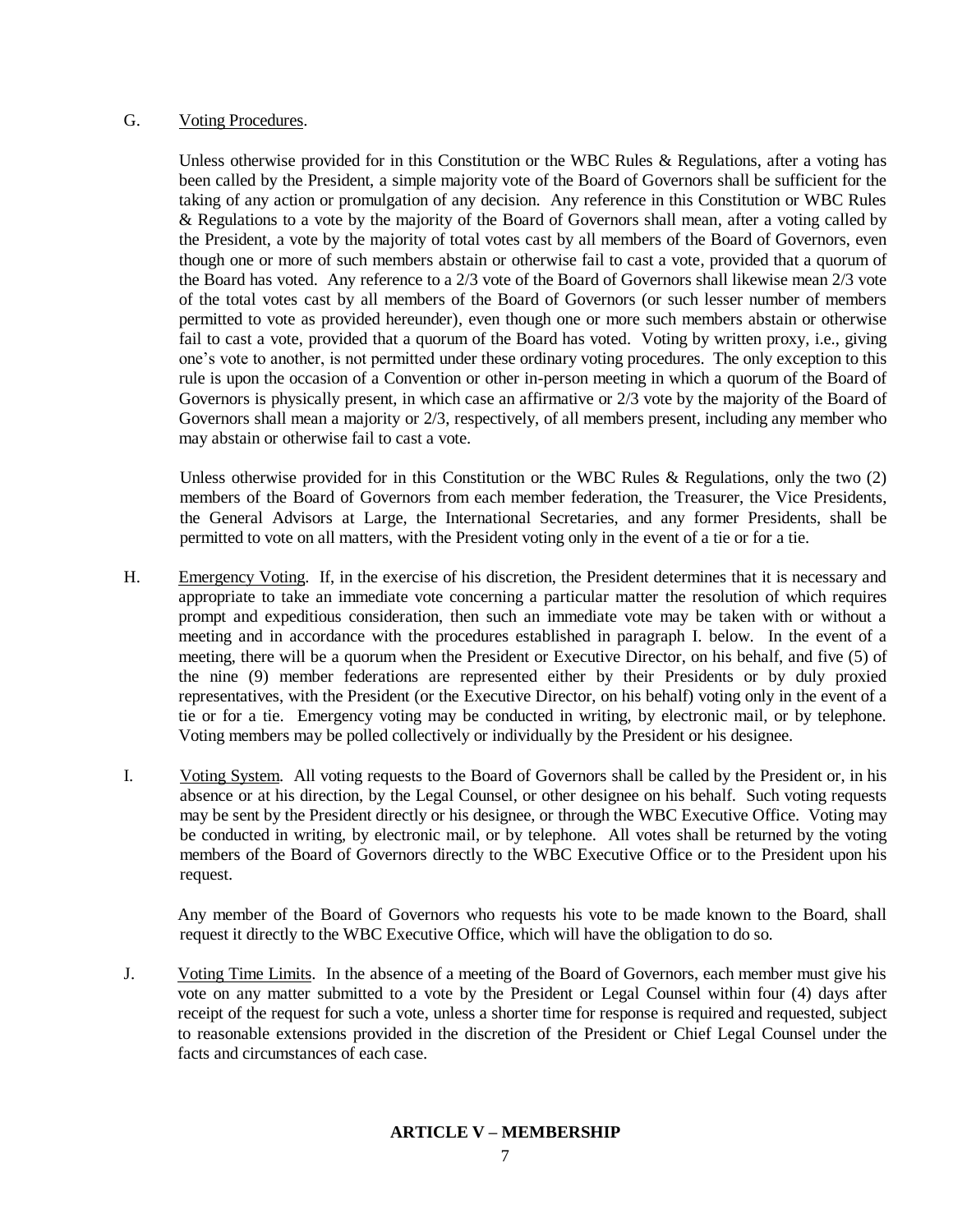### G. Voting Procedures.

Unless otherwise provided for in this Constitution or the WBC Rules & Regulations, after a voting has been called by the President, a simple majority vote of the Board of Governors shall be sufficient for the taking of any action or promulgation of any decision. Any reference in this Constitution or WBC Rules & Regulations to a vote by the majority of the Board of Governors shall mean, after a voting called by the President, a vote by the majority of total votes cast by all members of the Board of Governors, even though one or more of such members abstain or otherwise fail to cast a vote, provided that a quorum of the Board has voted. Any reference to a 2/3 vote of the Board of Governors shall likewise mean 2/3 vote of the total votes cast by all members of the Board of Governors (or such lesser number of members permitted to vote as provided hereunder), even though one or more such members abstain or otherwise fail to cast a vote, provided that a quorum of the Board has voted. Voting by written proxy, i.e., giving one's vote to another, is not permitted under these ordinary voting procedures. The only exception to this rule is upon the occasion of a Convention or other in-person meeting in which a quorum of the Board of Governors is physically present, in which case an affirmative or 2/3 vote by the majority of the Board of Governors shall mean a majority or 2/3, respectively, of all members present, including any member who may abstain or otherwise fail to cast a vote.

Unless otherwise provided for in this Constitution or the WBC Rules & Regulations, only the two  $(2)$ members of the Board of Governors from each member federation, the Treasurer, the Vice Presidents, the General Advisors at Large, the International Secretaries, and any former Presidents, shall be permitted to vote on all matters, with the President voting only in the event of a tie or for a tie.

- H. Emergency Voting. If, in the exercise of his discretion, the President determines that it is necessary and appropriate to take an immediate vote concerning a particular matter the resolution of which requires prompt and expeditious consideration, then such an immediate vote may be taken with or without a meeting and in accordance with the procedures established in paragraph I. below. In the event of a meeting, there will be a quorum when the President or Executive Director, on his behalf, and five (5) of the nine (9) member federations are represented either by their Presidents or by duly proxied representatives, with the President (or the Executive Director, on his behalf) voting only in the event of a tie or for a tie. Emergency voting may be conducted in writing, by electronic mail, or by telephone. Voting members may be polled collectively or individually by the President or his designee.
- I. Voting System. All voting requests to the Board of Governors shall be called by the President or, in his absence or at his direction, by the Legal Counsel, or other designee on his behalf. Such voting requests may be sent by the President directly or his designee, or through the WBC Executive Office. Voting may be conducted in writing, by electronic mail, or by telephone. All votes shall be returned by the voting members of the Board of Governors directly to the WBC Executive Office or to the President upon his request.

Any member of the Board of Governors who requests his vote to be made known to the Board, shall request it directly to the WBC Executive Office, which will have the obligation to do so.

J. Voting Time Limits. In the absence of a meeting of the Board of Governors, each member must give his vote on any matter submitted to a vote by the President or Legal Counsel within four (4) days after receipt of the request for such a vote, unless a shorter time for response is required and requested, subject to reasonable extensions provided in the discretion of the President or Chief Legal Counsel under the facts and circumstances of each case.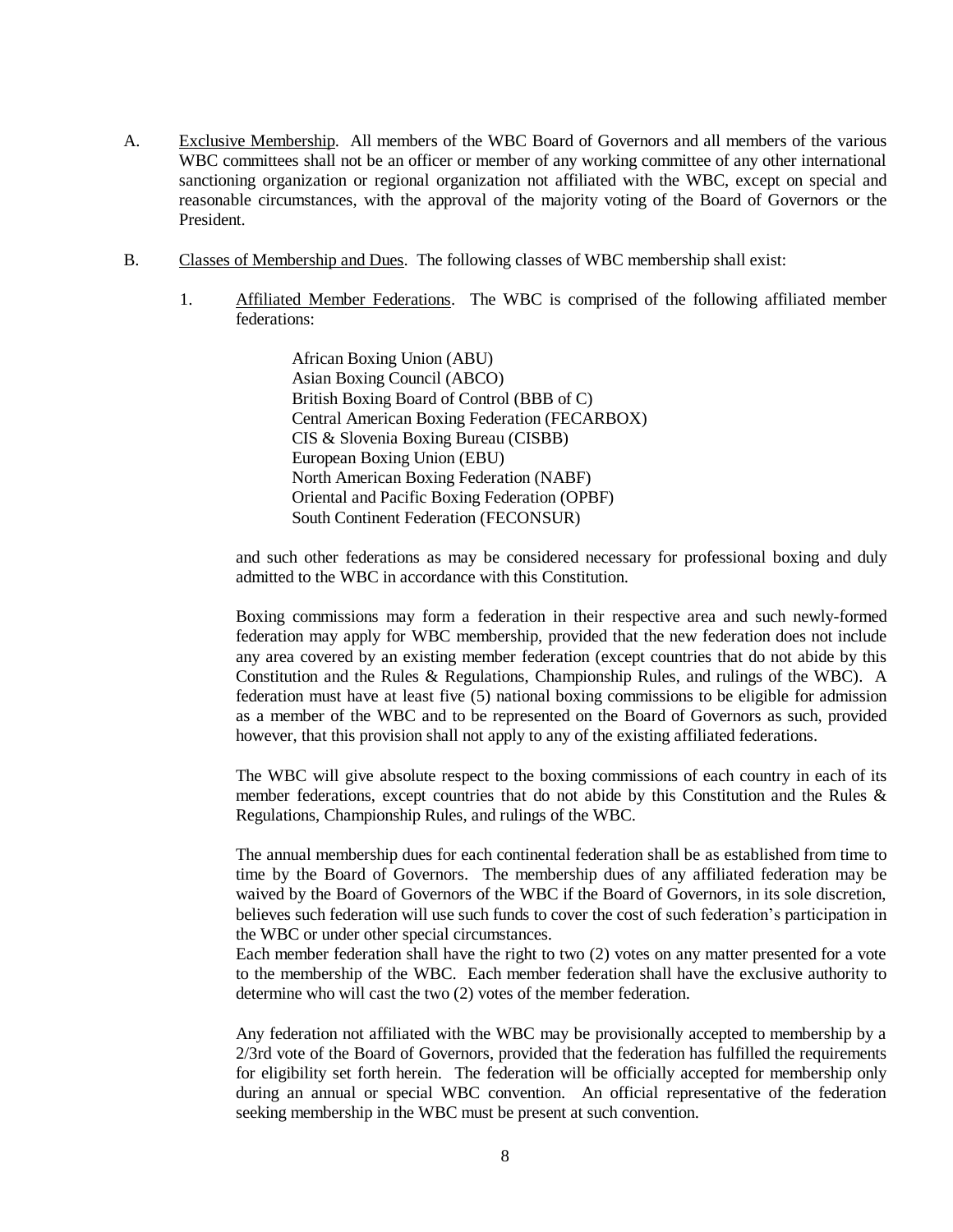- A. Exclusive Membership. All members of the WBC Board of Governors and all members of the various WBC committees shall not be an officer or member of any working committee of any other international sanctioning organization or regional organization not affiliated with the WBC, except on special and reasonable circumstances, with the approval of the majority voting of the Board of Governors or the President.
- B. Classes of Membership and Dues. The following classes of WBC membership shall exist:
	- 1. Affiliated Member Federations. The WBC is comprised of the following affiliated member federations:

African Boxing Union (ABU) Asian Boxing Council (ABCO) British Boxing Board of Control (BBB of C) Central American Boxing Federation (FECARBOX) CIS & Slovenia Boxing Bureau (CISBB) European Boxing Union (EBU) North American Boxing Federation (NABF) Oriental and Pacific Boxing Federation (OPBF) South Continent Federation (FECONSUR)

and such other federations as may be considered necessary for professional boxing and duly admitted to the WBC in accordance with this Constitution.

Boxing commissions may form a federation in their respective area and such newly-formed federation may apply for WBC membership, provided that the new federation does not include any area covered by an existing member federation (except countries that do not abide by this Constitution and the Rules & Regulations, Championship Rules, and rulings of the WBC). A federation must have at least five (5) national boxing commissions to be eligible for admission as a member of the WBC and to be represented on the Board of Governors as such, provided however, that this provision shall not apply to any of the existing affiliated federations.

The WBC will give absolute respect to the boxing commissions of each country in each of its member federations, except countries that do not abide by this Constitution and the Rules & Regulations, Championship Rules, and rulings of the WBC.

The annual membership dues for each continental federation shall be as established from time to time by the Board of Governors. The membership dues of any affiliated federation may be waived by the Board of Governors of the WBC if the Board of Governors, in its sole discretion, believes such federation will use such funds to cover the cost of such federation's participation in the WBC or under other special circumstances.

Each member federation shall have the right to two (2) votes on any matter presented for a vote to the membership of the WBC. Each member federation shall have the exclusive authority to determine who will cast the two (2) votes of the member federation.

Any federation not affiliated with the WBC may be provisionally accepted to membership by a 2/3rd vote of the Board of Governors, provided that the federation has fulfilled the requirements for eligibility set forth herein. The federation will be officially accepted for membership only during an annual or special WBC convention. An official representative of the federation seeking membership in the WBC must be present at such convention.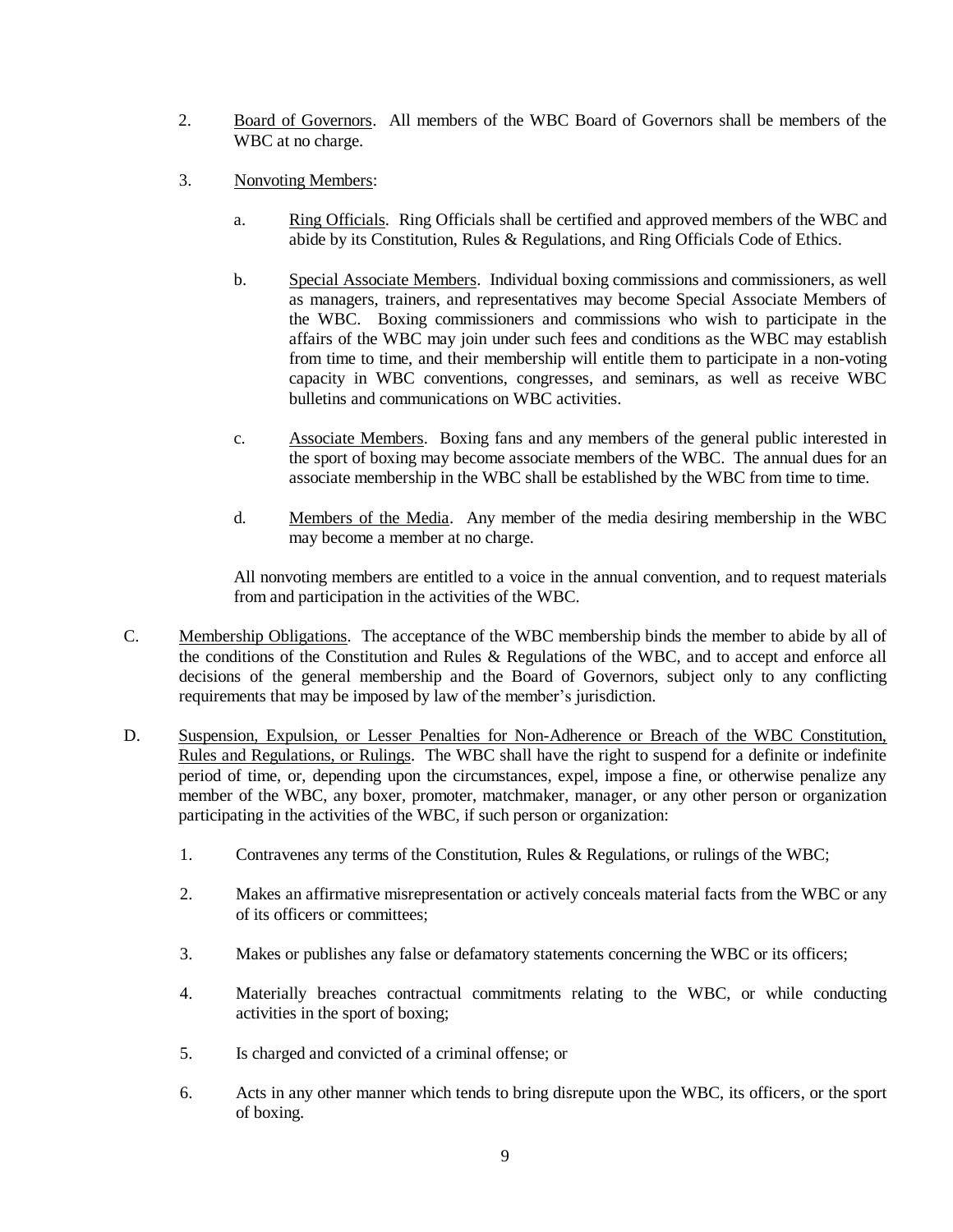- 2. Board of Governors. All members of the WBC Board of Governors shall be members of the WBC at no charge.
- 3. Nonvoting Members:
	- a. Ring Officials. Ring Officials shall be certified and approved members of the WBC and abide by its Constitution, Rules & Regulations, and Ring Officials Code of Ethics.
	- b. Special Associate Members. Individual boxing commissions and commissioners, as well as managers, trainers, and representatives may become Special Associate Members of the WBC. Boxing commissioners and commissions who wish to participate in the affairs of the WBC may join under such fees and conditions as the WBC may establish from time to time, and their membership will entitle them to participate in a non-voting capacity in WBC conventions, congresses, and seminars, as well as receive WBC bulletins and communications on WBC activities.
	- c. Associate Members. Boxing fans and any members of the general public interested in the sport of boxing may become associate members of the WBC. The annual dues for an associate membership in the WBC shall be established by the WBC from time to time.
	- d. Members of the Media. Any member of the media desiring membership in the WBC may become a member at no charge.

All nonvoting members are entitled to a voice in the annual convention, and to request materials from and participation in the activities of the WBC.

- C. Membership Obligations. The acceptance of the WBC membership binds the member to abide by all of the conditions of the Constitution and Rules & Regulations of the WBC, and to accept and enforce all decisions of the general membership and the Board of Governors, subject only to any conflicting requirements that may be imposed by law of the member's jurisdiction.
- D. Suspension, Expulsion, or Lesser Penalties for Non-Adherence or Breach of the WBC Constitution, Rules and Regulations, or Rulings. The WBC shall have the right to suspend for a definite or indefinite period of time, or, depending upon the circumstances, expel, impose a fine, or otherwise penalize any member of the WBC, any boxer, promoter, matchmaker, manager, or any other person or organization participating in the activities of the WBC, if such person or organization:
	- 1. Contravenes any terms of the Constitution, Rules & Regulations, or rulings of the WBC;
	- 2. Makes an affirmative misrepresentation or actively conceals material facts from the WBC or any of its officers or committees;
	- 3. Makes or publishes any false or defamatory statements concerning the WBC or its officers;
	- 4. Materially breaches contractual commitments relating to the WBC, or while conducting activities in the sport of boxing;
	- 5. Is charged and convicted of a criminal offense; or
	- 6. Acts in any other manner which tends to bring disrepute upon the WBC, its officers, or the sport of boxing.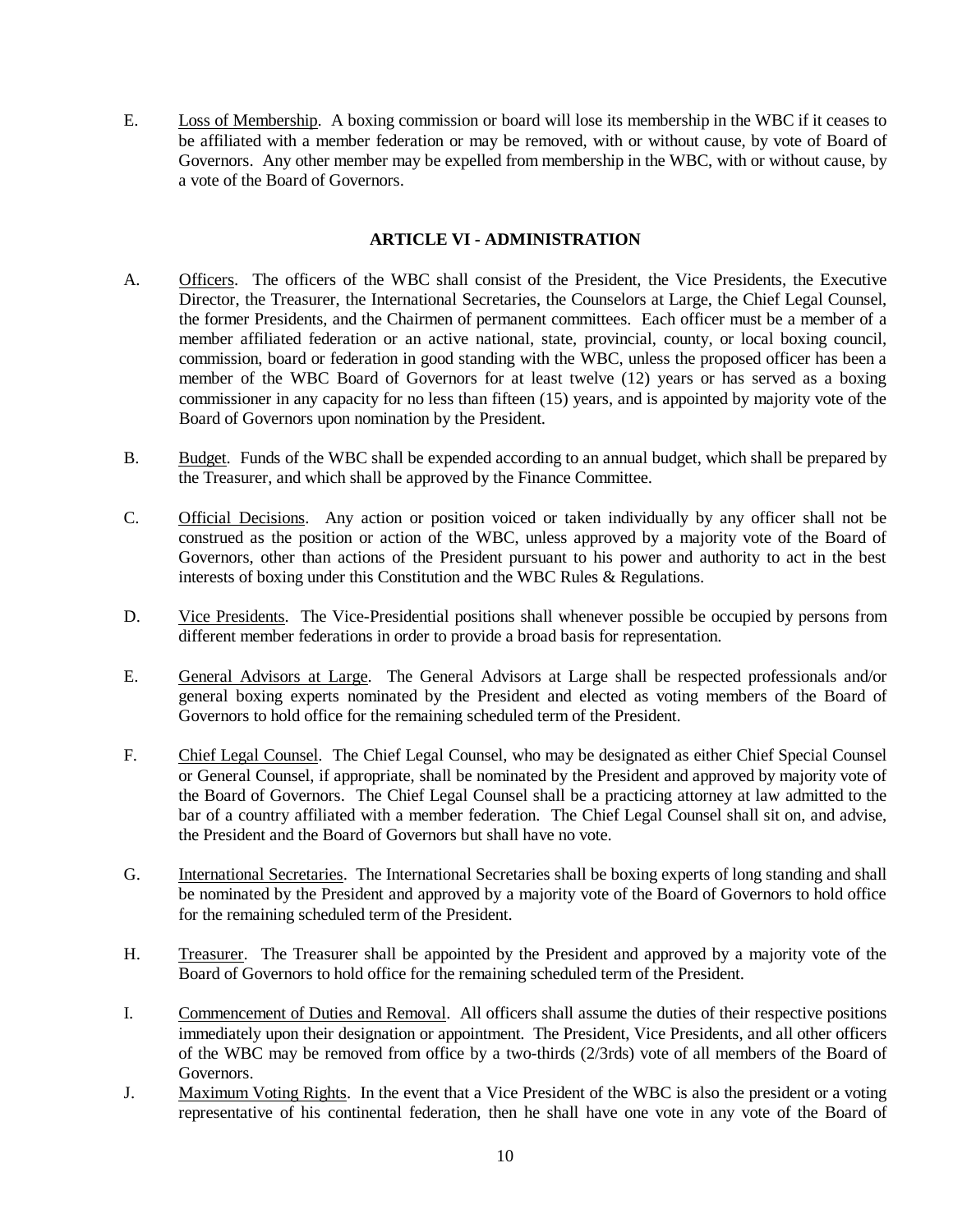E. Loss of Membership. A boxing commission or board will lose its membership in the WBC if it ceases to be affiliated with a member federation or may be removed, with or without cause, by vote of Board of Governors. Any other member may be expelled from membership in the WBC, with or without cause, by a vote of the Board of Governors.

# **ARTICLE VI - ADMINISTRATION**

- A. Officers. The officers of the WBC shall consist of the President, the Vice Presidents, the Executive Director, the Treasurer, the International Secretaries, the Counselors at Large, the Chief Legal Counsel, the former Presidents, and the Chairmen of permanent committees. Each officer must be a member of a member affiliated federation or an active national, state, provincial, county, or local boxing council, commission, board or federation in good standing with the WBC, unless the proposed officer has been a member of the WBC Board of Governors for at least twelve (12) years or has served as a boxing commissioner in any capacity for no less than fifteen (15) years, and is appointed by majority vote of the Board of Governors upon nomination by the President.
- B. Budget. Funds of the WBC shall be expended according to an annual budget, which shall be prepared by the Treasurer, and which shall be approved by the Finance Committee.
- C. Official Decisions. Any action or position voiced or taken individually by any officer shall not be construed as the position or action of the WBC, unless approved by a majority vote of the Board of Governors, other than actions of the President pursuant to his power and authority to act in the best interests of boxing under this Constitution and the WBC Rules & Regulations.
- D. Vice Presidents. The Vice-Presidential positions shall whenever possible be occupied by persons from different member federations in order to provide a broad basis for representation.
- E. General Advisors at Large. The General Advisors at Large shall be respected professionals and/or general boxing experts nominated by the President and elected as voting members of the Board of Governors to hold office for the remaining scheduled term of the President.
- F. Chief Legal Counsel. The Chief Legal Counsel, who may be designated as either Chief Special Counsel or General Counsel, if appropriate, shall be nominated by the President and approved by majority vote of the Board of Governors. The Chief Legal Counsel shall be a practicing attorney at law admitted to the bar of a country affiliated with a member federation. The Chief Legal Counsel shall sit on, and advise, the President and the Board of Governors but shall have no vote.
- G. International Secretaries. The International Secretaries shall be boxing experts of long standing and shall be nominated by the President and approved by a majority vote of the Board of Governors to hold office for the remaining scheduled term of the President.
- H. Treasurer. The Treasurer shall be appointed by the President and approved by a majority vote of the Board of Governors to hold office for the remaining scheduled term of the President.
- I. Commencement of Duties and Removal. All officers shall assume the duties of their respective positions immediately upon their designation or appointment. The President, Vice Presidents, and all other officers of the WBC may be removed from office by a two-thirds (2/3rds) vote of all members of the Board of Governors.
- J. Maximum Voting Rights. In the event that a Vice President of the WBC is also the president or a voting representative of his continental federation, then he shall have one vote in any vote of the Board of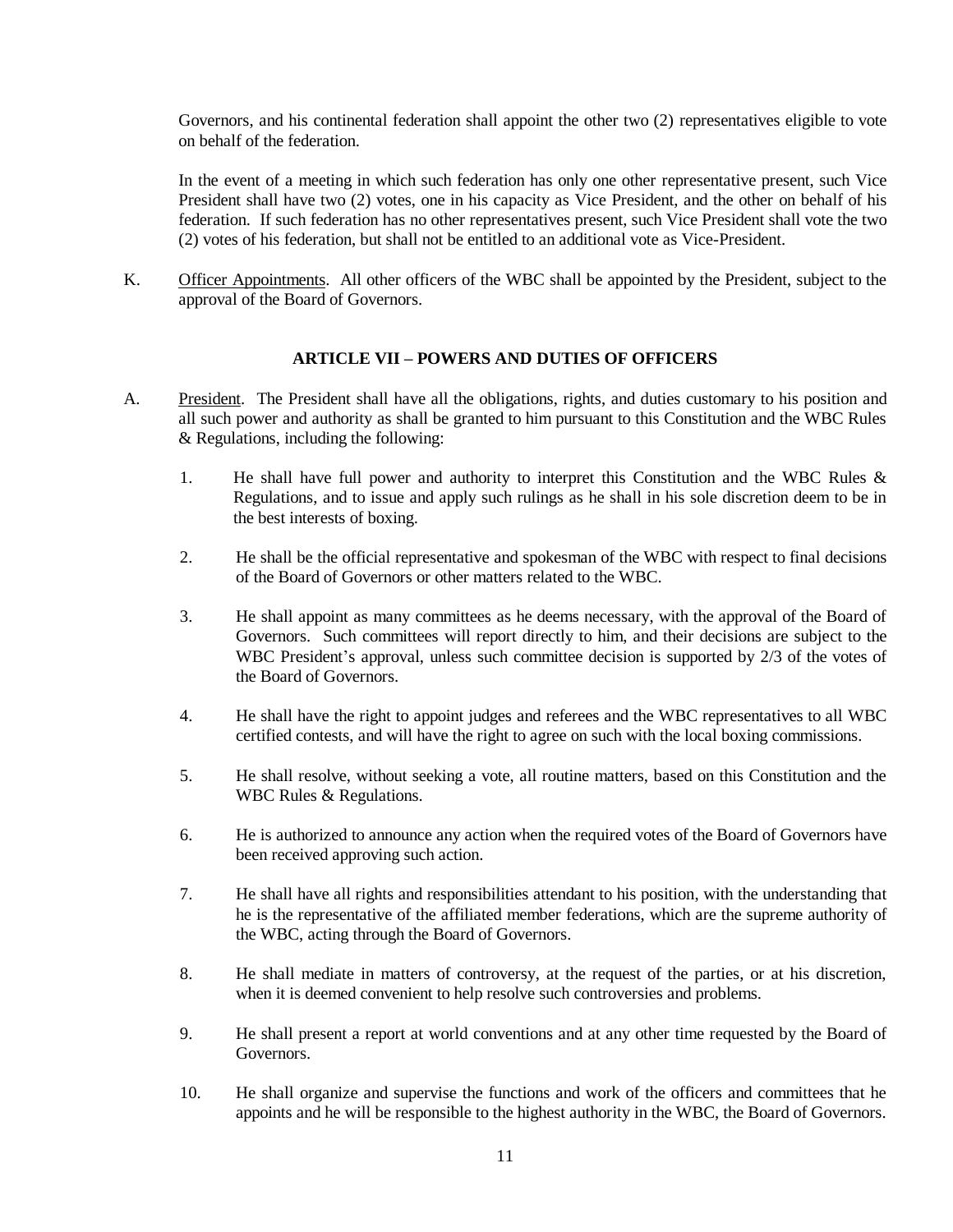Governors, and his continental federation shall appoint the other two (2) representatives eligible to vote on behalf of the federation.

In the event of a meeting in which such federation has only one other representative present, such Vice President shall have two (2) votes, one in his capacity as Vice President, and the other on behalf of his federation. If such federation has no other representatives present, such Vice President shall vote the two (2) votes of his federation, but shall not be entitled to an additional vote as Vice-President.

K. Officer Appointments. All other officers of the WBC shall be appointed by the President, subject to the approval of the Board of Governors.

# **ARTICLE VII – POWERS AND DUTIES OF OFFICERS**

- A. President. The President shall have all the obligations, rights, and duties customary to his position and all such power and authority as shall be granted to him pursuant to this Constitution and the WBC Rules & Regulations, including the following:
	- 1. He shall have full power and authority to interpret this Constitution and the WBC Rules & Regulations, and to issue and apply such rulings as he shall in his sole discretion deem to be in the best interests of boxing.
	- 2. He shall be the official representative and spokesman of the WBC with respect to final decisions of the Board of Governors or other matters related to the WBC.
	- 3. He shall appoint as many committees as he deems necessary, with the approval of the Board of Governors. Such committees will report directly to him, and their decisions are subject to the WBC President's approval, unless such committee decision is supported by 2/3 of the votes of the Board of Governors.
	- 4. He shall have the right to appoint judges and referees and the WBC representatives to all WBC certified contests, and will have the right to agree on such with the local boxing commissions.
	- 5. He shall resolve, without seeking a vote, all routine matters, based on this Constitution and the WBC Rules & Regulations.
	- 6. He is authorized to announce any action when the required votes of the Board of Governors have been received approving such action.
	- 7. He shall have all rights and responsibilities attendant to his position, with the understanding that he is the representative of the affiliated member federations, which are the supreme authority of the WBC, acting through the Board of Governors.
	- 8. He shall mediate in matters of controversy, at the request of the parties, or at his discretion, when it is deemed convenient to help resolve such controversies and problems.
	- 9. He shall present a report at world conventions and at any other time requested by the Board of Governors.
	- 10. He shall organize and supervise the functions and work of the officers and committees that he appoints and he will be responsible to the highest authority in the WBC, the Board of Governors.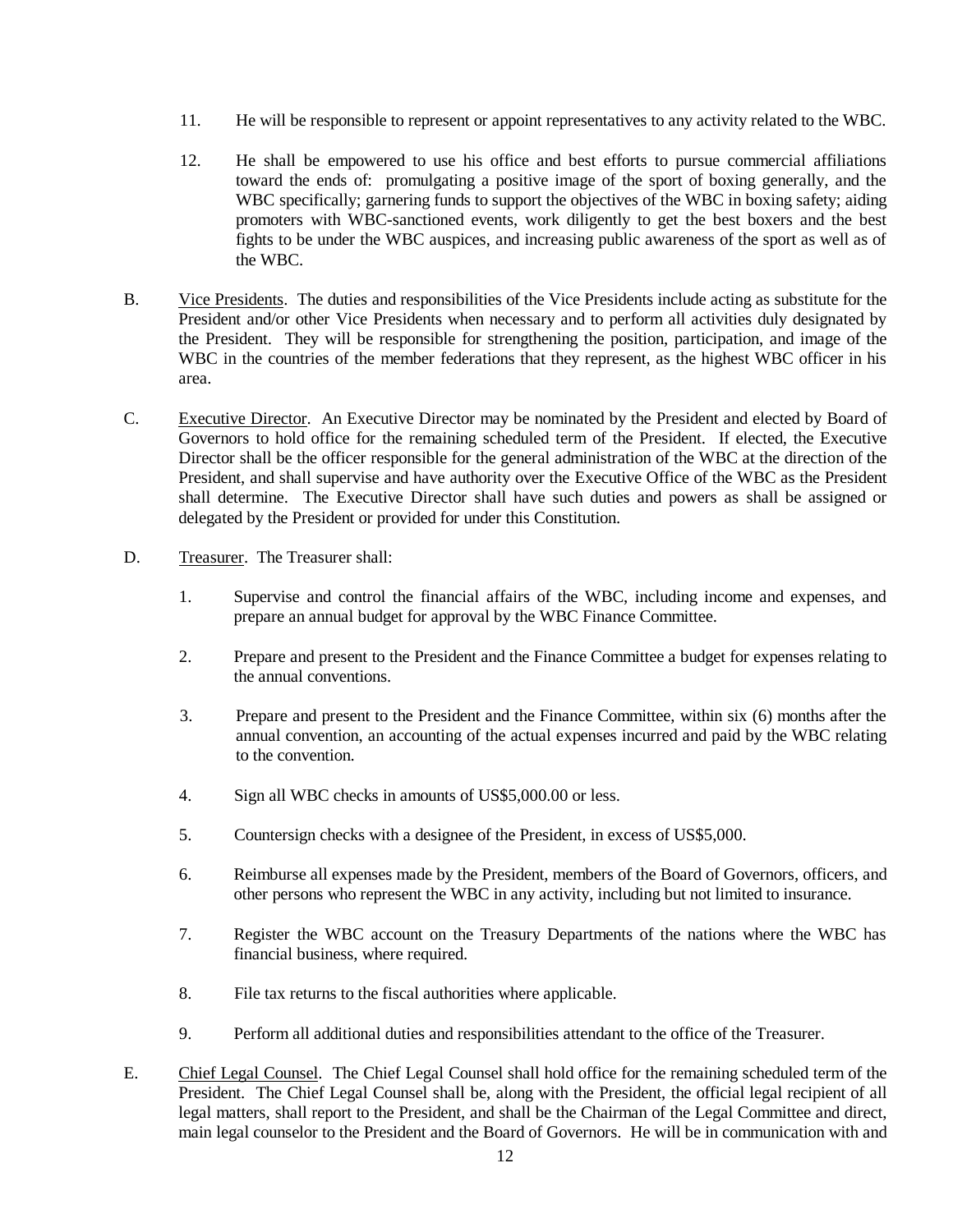- 11. He will be responsible to represent or appoint representatives to any activity related to the WBC.
- 12. He shall be empowered to use his office and best efforts to pursue commercial affiliations toward the ends of: promulgating a positive image of the sport of boxing generally, and the WBC specifically; garnering funds to support the objectives of the WBC in boxing safety; aiding promoters with WBC-sanctioned events, work diligently to get the best boxers and the best fights to be under the WBC auspices, and increasing public awareness of the sport as well as of the WBC.
- B. Vice Presidents. The duties and responsibilities of the Vice Presidents include acting as substitute for the President and/or other Vice Presidents when necessary and to perform all activities duly designated by the President. They will be responsible for strengthening the position, participation, and image of the WBC in the countries of the member federations that they represent, as the highest WBC officer in his area.
- C. Executive Director. An Executive Director may be nominated by the President and elected by Board of Governors to hold office for the remaining scheduled term of the President. If elected, the Executive Director shall be the officer responsible for the general administration of the WBC at the direction of the President, and shall supervise and have authority over the Executive Office of the WBC as the President shall determine. The Executive Director shall have such duties and powers as shall be assigned or delegated by the President or provided for under this Constitution.
- D. Treasurer. The Treasurer shall:
	- 1. Supervise and control the financial affairs of the WBC, including income and expenses, and prepare an annual budget for approval by the WBC Finance Committee.
	- 2. Prepare and present to the President and the Finance Committee a budget for expenses relating to the annual conventions.
	- 3. Prepare and present to the President and the Finance Committee, within six (6) months after the annual convention, an accounting of the actual expenses incurred and paid by the WBC relating to the convention.
	- 4. Sign all WBC checks in amounts of US\$5,000.00 or less.
	- 5. Countersign checks with a designee of the President, in excess of US\$5,000.
	- 6. Reimburse all expenses made by the President, members of the Board of Governors, officers, and other persons who represent the WBC in any activity, including but not limited to insurance.
	- 7. Register the WBC account on the Treasury Departments of the nations where the WBC has financial business, where required.
	- 8. File tax returns to the fiscal authorities where applicable.
	- 9. Perform all additional duties and responsibilities attendant to the office of the Treasurer.
- E. Chief Legal Counsel. The Chief Legal Counsel shall hold office for the remaining scheduled term of the President. The Chief Legal Counsel shall be, along with the President, the official legal recipient of all legal matters, shall report to the President, and shall be the Chairman of the Legal Committee and direct, main legal counselor to the President and the Board of Governors. He will be in communication with and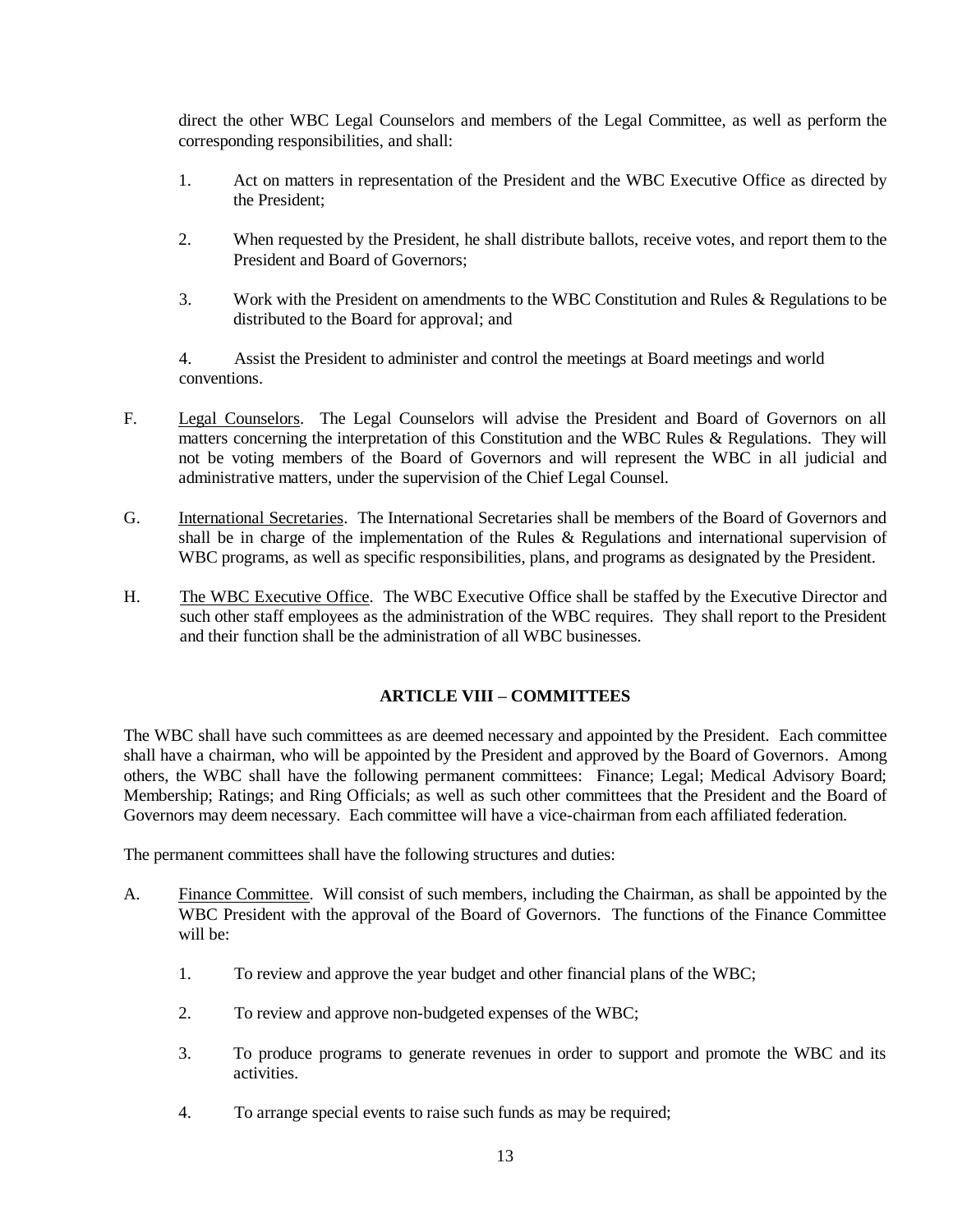direct the other WBC Legal Counselors and members of the Legal Committee, as well as perform the corresponding responsibilities, and shall:

- 1. Act on matters in representation of the President and the WBC Executive Office as directed by the President;
- 2. When requested by the President, he shall distribute ballots, receive votes, and report them to the President and Board of Governors;
- 3. Work with the President on amendments to the WBC Constitution and Rules & Regulations to be distributed to the Board for approval; and

4. Assist the President to administer and control the meetings at Board meetings and world conventions.

- F. Legal Counselors. The Legal Counselors will advise the President and Board of Governors on all matters concerning the interpretation of this Constitution and the WBC Rules & Regulations. They will not be voting members of the Board of Governors and will represent the WBC in all judicial and administrative matters, under the supervision of the Chief Legal Counsel.
- G. International Secretaries. The International Secretaries shall be members of the Board of Governors and shall be in charge of the implementation of the Rules & Regulations and international supervision of WBC programs, as well as specific responsibilities, plans, and programs as designated by the President.
- H. The WBC Executive Office. The WBC Executive Office shall be staffed by the Executive Director and such other staff employees as the administration of the WBC requires. They shall report to the President and their function shall be the administration of all WBC businesses.

# **ARTICLE VIII – COMMITTEES**

The WBC shall have such committees as are deemed necessary and appointed by the President. Each committee shall have a chairman, who will be appointed by the President and approved by the Board of Governors. Among others, the WBC shall have the following permanent committees: Finance; Legal; Medical Advisory Board; Membership; Ratings; and Ring Officials; as well as such other committees that the President and the Board of Governors may deem necessary. Each committee will have a vice-chairman from each affiliated federation.

The permanent committees shall have the following structures and duties:

- A. Finance Committee. Will consist of such members, including the Chairman, as shall be appointed by the WBC President with the approval of the Board of Governors. The functions of the Finance Committee will be:
	- 1. To review and approve the year budget and other financial plans of the WBC;
	- 2. To review and approve non-budgeted expenses of the WBC;
	- 3. To produce programs to generate revenues in order to support and promote the WBC and its activities.
	- 4. To arrange special events to raise such funds as may be required;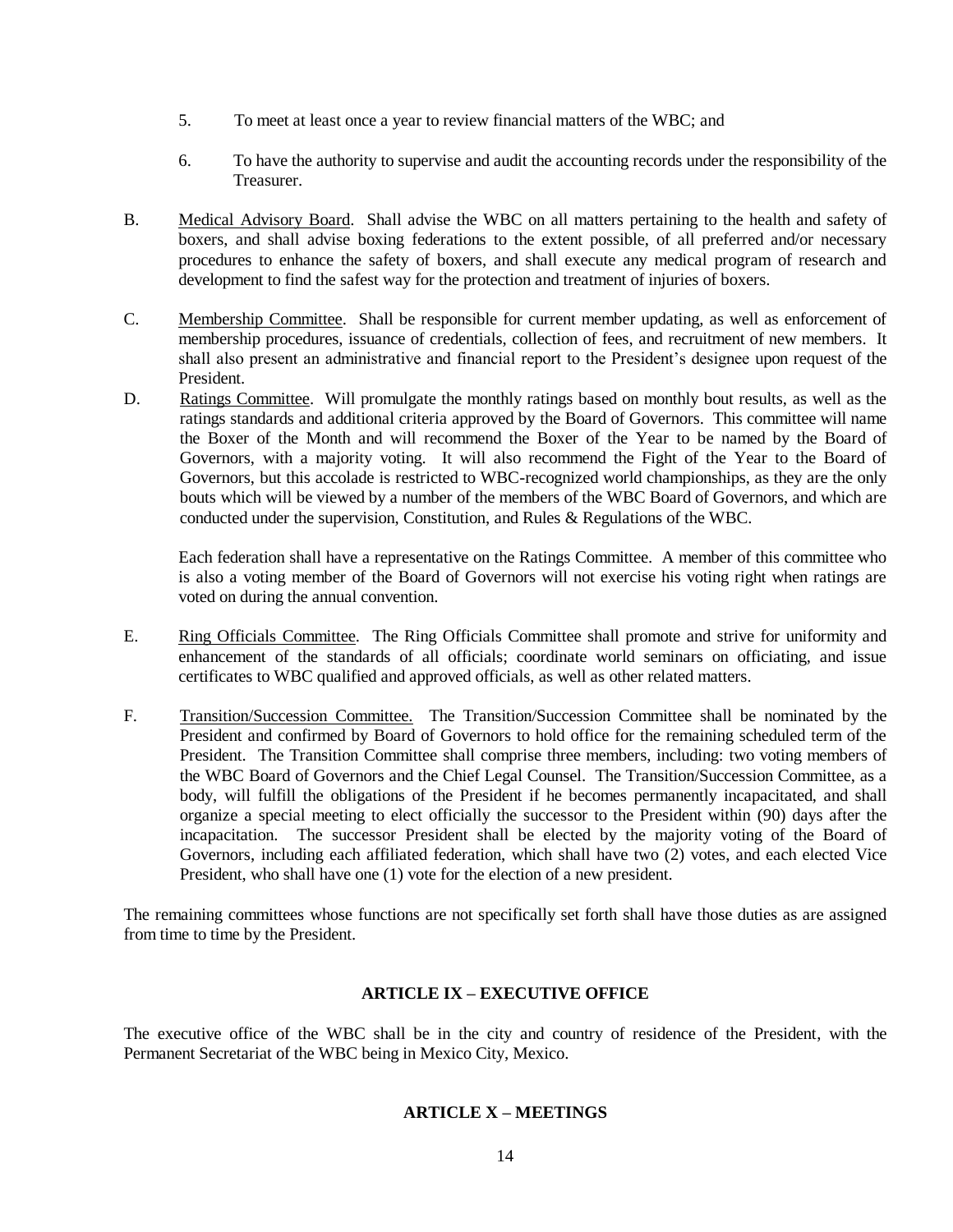- 5. To meet at least once a year to review financial matters of the WBC; and
- 6. To have the authority to supervise and audit the accounting records under the responsibility of the Treasurer.
- B. Medical Advisory Board. Shall advise the WBC on all matters pertaining to the health and safety of boxers, and shall advise boxing federations to the extent possible, of all preferred and/or necessary procedures to enhance the safety of boxers, and shall execute any medical program of research and development to find the safest way for the protection and treatment of injuries of boxers.
- C. Membership Committee. Shall be responsible for current member updating, as well as enforcement of membership procedures, issuance of credentials, collection of fees, and recruitment of new members. It shall also present an administrative and financial report to the President's designee upon request of the President.
- D. Ratings Committee. Will promulgate the monthly ratings based on monthly bout results, as well as the ratings standards and additional criteria approved by the Board of Governors. This committee will name the Boxer of the Month and will recommend the Boxer of the Year to be named by the Board of Governors, with a majority voting. It will also recommend the Fight of the Year to the Board of Governors, but this accolade is restricted to WBC-recognized world championships, as they are the only bouts which will be viewed by a number of the members of the WBC Board of Governors, and which are conducted under the supervision, Constitution, and Rules & Regulations of the WBC.

Each federation shall have a representative on the Ratings Committee. A member of this committee who is also a voting member of the Board of Governors will not exercise his voting right when ratings are voted on during the annual convention.

- E. Ring Officials Committee. The Ring Officials Committee shall promote and strive for uniformity and enhancement of the standards of all officials; coordinate world seminars on officiating, and issue certificates to WBC qualified and approved officials, as well as other related matters.
- F. Transition/Succession Committee. The Transition/Succession Committee shall be nominated by the President and confirmed by Board of Governors to hold office for the remaining scheduled term of the President. The Transition Committee shall comprise three members, including: two voting members of the WBC Board of Governors and the Chief Legal Counsel. The Transition/Succession Committee, as a body, will fulfill the obligations of the President if he becomes permanently incapacitated, and shall organize a special meeting to elect officially the successor to the President within (90) days after the incapacitation. The successor President shall be elected by the majority voting of the Board of Governors, including each affiliated federation, which shall have two (2) votes, and each elected Vice President, who shall have one (1) vote for the election of a new president.

The remaining committees whose functions are not specifically set forth shall have those duties as are assigned from time to time by the President.

### **ARTICLE IX – EXECUTIVE OFFICE**

The executive office of the WBC shall be in the city and country of residence of the President, with the Permanent Secretariat of the WBC being in Mexico City, Mexico.

# **ARTICLE X – MEETINGS**